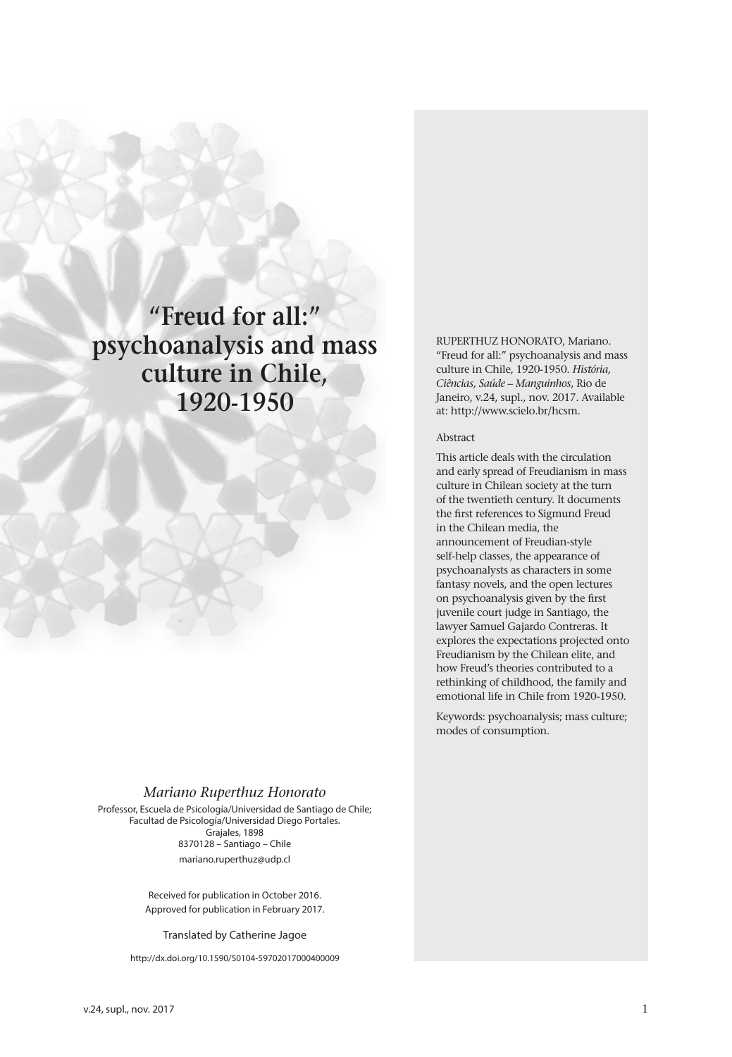**"Freud for all:" psychoanalysis and mass culture in Chile, 1920-1950** 

# *Mariano Ruperthuz Honorato*

Professor, Escuela de Psicología/Universidad de Santiago de Chile; Facultad de Psicología/Universidad Diego Portales. Grajales, 1898 8370128 – Santiago – Chile mariano.ruperthuz@udp.cl

> Received for publication in October 2016. Approved for publication in February 2017.

Translated by Catherine Jagoe

http://dx.doi.org/10.1590/S0104-59702017000400009

RUPERTHUZ HONORATO, Mariano. "Freud for all:" psychoanalysis and mass culture in Chile, 1920-1950. *História, Ciências, Saúde – Manguinhos*, Rio de Janeiro, v.24, supl., nov. 2017. Available at: http://www.scielo.br/hcsm.

## Abstract

This article deals with the circulation and early spread of Freudianism in mass culture in Chilean society at the turn of the twentieth century. It documents the first references to Sigmund Freud in the Chilean media, the announcement of Freudian-style self-help classes, the appearance of psychoanalysts as characters in some fantasy novels, and the open lectures on psychoanalysis given by the first juvenile court judge in Santiago, the lawyer Samuel Gajardo Contreras. It explores the expectations projected onto Freudianism by the Chilean elite, and how Freud's theories contributed to a rethinking of childhood, the family and emotional life in Chile from 1920-1950.

Keywords: psychoanalysis; mass culture; modes of consumption.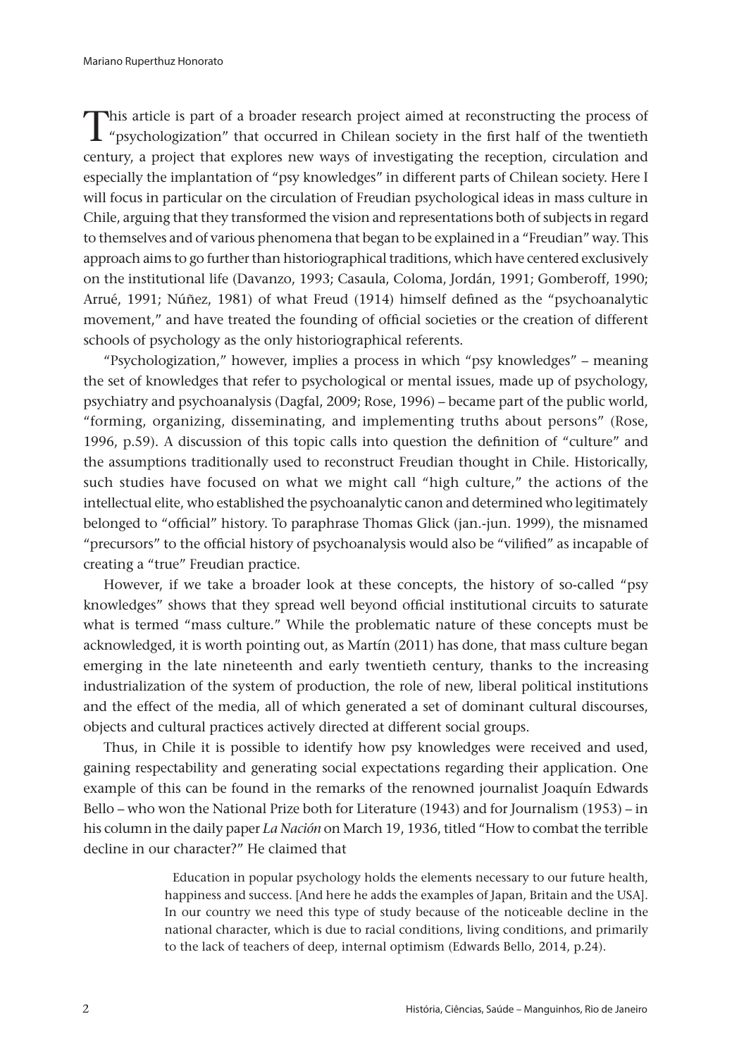This article is part of a broader research project aimed at reconstructing the process of "psychologization" that occurred in Chilean society in the first half of the twentieth century, a project that explores new ways of investigating the reception, circulation and especially the implantation of "psy knowledges" in different parts of Chilean society. Here I will focus in particular on the circulation of Freudian psychological ideas in mass culture in Chile, arguing that they transformed the vision and representations both of subjects in regard to themselves and of various phenomena that began to be explained in a "Freudian" way. This approach aims to go further than historiographical traditions, which have centered exclusively on the institutional life (Davanzo, 1993; Casaula, Coloma, Jordán, 1991; Gomberoff, 1990; Arrué, 1991; Núñez, 1981) of what Freud (1914) himself defined as the "psychoanalytic movement," and have treated the founding of official societies or the creation of different schools of psychology as the only historiographical referents.

"Psychologization," however, implies a process in which "psy knowledges" – meaning the set of knowledges that refer to psychological or mental issues, made up of psychology, psychiatry and psychoanalysis (Dagfal, 2009; Rose, 1996) – became part of the public world, "forming, organizing, disseminating, and implementing truths about persons" (Rose, 1996, p.59). A discussion of this topic calls into question the definition of "culture" and the assumptions traditionally used to reconstruct Freudian thought in Chile. Historically, such studies have focused on what we might call "high culture," the actions of the intellectual elite, who established the psychoanalytic canon and determined who legitimately belonged to "official" history. To paraphrase Thomas Glick (jan.-jun. 1999), the misnamed "precursors" to the official history of psychoanalysis would also be "vilified" as incapable of creating a "true" Freudian practice.

However, if we take a broader look at these concepts, the history of so-called "psy knowledges" shows that they spread well beyond official institutional circuits to saturate what is termed "mass culture." While the problematic nature of these concepts must be acknowledged, it is worth pointing out, as Martín (2011) has done, that mass culture began emerging in the late nineteenth and early twentieth century, thanks to the increasing industrialization of the system of production, the role of new, liberal political institutions and the effect of the media, all of which generated a set of dominant cultural discourses, objects and cultural practices actively directed at different social groups.

Thus, in Chile it is possible to identify how psy knowledges were received and used, gaining respectability and generating social expectations regarding their application. One example of this can be found in the remarks of the renowned journalist Joaquín Edwards Bello – who won the National Prize both for Literature (1943) and for Journalism (1953) – in his column in the daily paper *La Nación* on March 19, 1936, titled "How to combat the terrible decline in our character?" He claimed that

> Education in popular psychology holds the elements necessary to our future health, happiness and success. [And here he adds the examples of Japan, Britain and the USA]. In our country we need this type of study because of the noticeable decline in the national character, which is due to racial conditions, living conditions, and primarily to the lack of teachers of deep, internal optimism (Edwards Bello, 2014, p.24).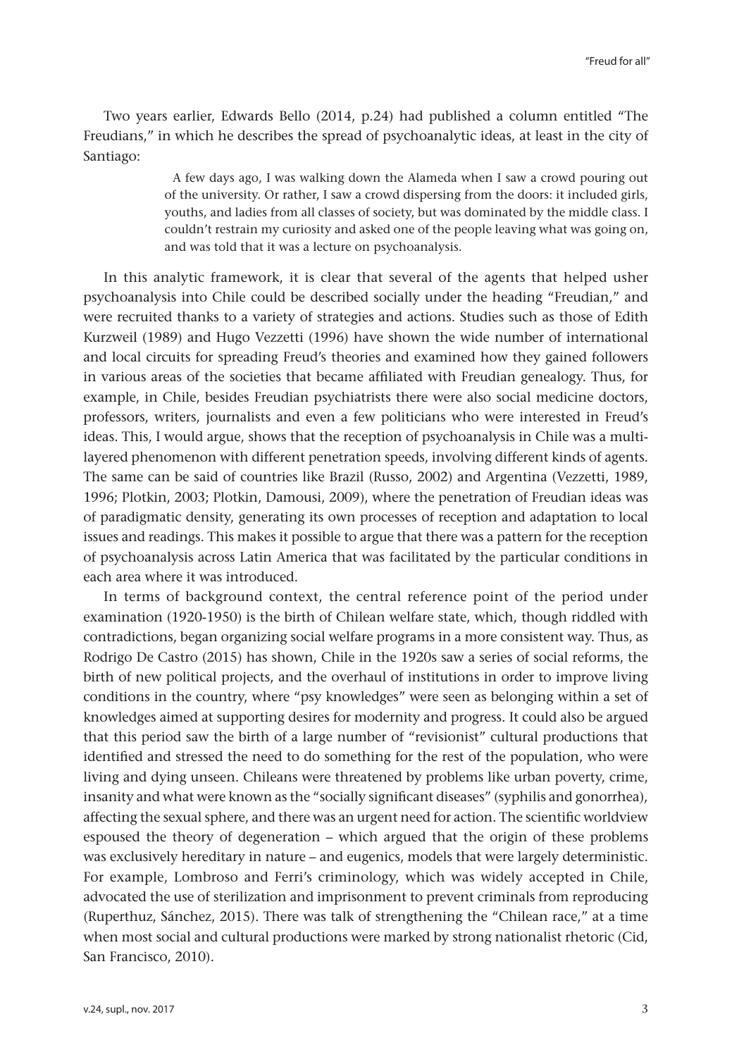Two years earlier, Edwards Bello (2014, p.24) had published a column entitled "The Freudians," in which he describes the spread of psychoanalytic ideas, at least in the city of Santiago:

> A few days ago, I was walking down the Alameda when I saw a crowd pouring out of the university. Or rather, I saw a crowd dispersing from the doors: it included girls, youths, and ladies from all classes of society, but was dominated by the middle class. I couldn't restrain my curiosity and asked one of the people leaving what was going on, and was told that it was a lecture on psychoanalysis.

In this analytic framework, it is clear that several of the agents that helped usher psychoanalysis into Chile could be described socially under the heading "Freudian," and were recruited thanks to a variety of strategies and actions. Studies such as those of Edith Kurzweil (1989) and Hugo Vezzetti (1996) have shown the wide number of international and local circuits for spreading Freud's theories and examined how they gained followers in various areas of the societies that became affiliated with Freudian genealogy. Thus, for example, in Chile, besides Freudian psychiatrists there were also social medicine doctors, professors, writers, journalists and even a few politicians who were interested in Freud's ideas. This, I would argue, shows that the reception of psychoanalysis in Chile was a multilayered phenomenon with different penetration speeds, involving different kinds of agents. The same can be said of countries like Brazil (Russo, 2002) and Argentina (Vezzetti, 1989, 1996; Plotkin, 2003; Plotkin, Damousi, 2009), where the penetration of Freudian ideas was of paradigmatic density, generating its own processes of reception and adaptation to local issues and readings. This makes it possible to argue that there was a pattern for the reception of psychoanalysis across Latin America that was facilitated by the particular conditions in each area where it was introduced.

In terms of background context, the central reference point of the period under examination (1920-1950) is the birth of Chilean welfare state, which, though riddled with contradictions, began organizing social welfare programs in a more consistent way. Thus, as Rodrigo De Castro (2015) has shown, Chile in the 1920s saw a series of social reforms, the birth of new political projects, and the overhaul of institutions in order to improve living conditions in the country, where "psy knowledges" were seen as belonging within a set of knowledges aimed at supporting desires for modernity and progress. It could also be argued that this period saw the birth of a large number of "revisionist" cultural productions that identified and stressed the need to do something for the rest of the population, who were living and dying unseen. Chileans were threatened by problems like urban poverty, crime, insanity and what were known as the "socially significant diseases" (syphilis and gonorrhea), affecting the sexual sphere, and there was an urgent need for action. The scientific worldview espoused the theory of degeneration – which argued that the origin of these problems was exclusively hereditary in nature – and eugenics, models that were largely deterministic. For example, Lombroso and Ferri's criminology, which was widely accepted in Chile, advocated the use of sterilization and imprisonment to prevent criminals from reproducing (Ruperthuz, Sánchez, 2015). There was talk of strengthening the "Chilean race," at a time when most social and cultural productions were marked by strong nationalist rhetoric (Cid, San Francisco, 2010).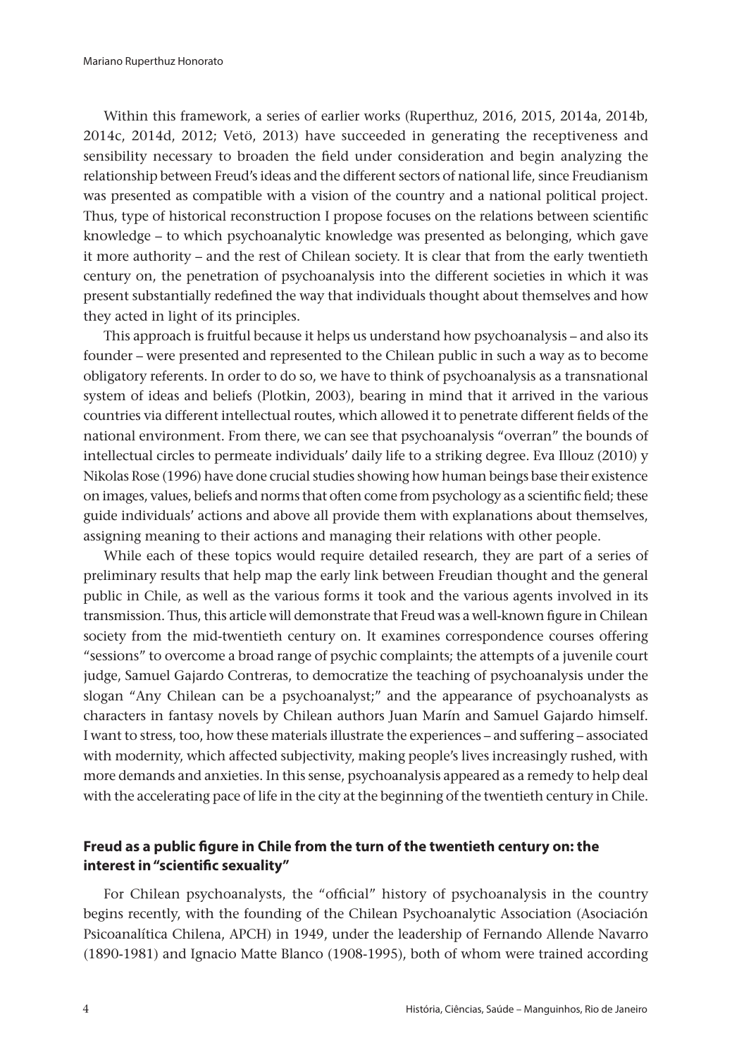Within this framework, a series of earlier works (Ruperthuz, 2016, 2015, 2014a, 2014b, 2014c, 2014d, 2012; Vetö, 2013) have succeeded in generating the receptiveness and sensibility necessary to broaden the field under consideration and begin analyzing the relationship between Freud's ideas and the different sectors of national life, since Freudianism was presented as compatible with a vision of the country and a national political project. Thus, type of historical reconstruction I propose focuses on the relations between scientific knowledge – to which psychoanalytic knowledge was presented as belonging, which gave it more authority – and the rest of Chilean society. It is clear that from the early twentieth century on, the penetration of psychoanalysis into the different societies in which it was present substantially redefined the way that individuals thought about themselves and how they acted in light of its principles.

This approach is fruitful because it helps us understand how psychoanalysis – and also its founder – were presented and represented to the Chilean public in such a way as to become obligatory referents. In order to do so, we have to think of psychoanalysis as a transnational system of ideas and beliefs (Plotkin, 2003), bearing in mind that it arrived in the various countries via different intellectual routes, which allowed it to penetrate different fields of the national environment. From there, we can see that psychoanalysis "overran" the bounds of intellectual circles to permeate individuals' daily life to a striking degree. Eva Illouz (2010) y Nikolas Rose (1996) have done crucial studies showing how human beings base their existence on images, values, beliefs and norms that often come from psychology as a scientific field; these guide individuals' actions and above all provide them with explanations about themselves, assigning meaning to their actions and managing their relations with other people.

While each of these topics would require detailed research, they are part of a series of preliminary results that help map the early link between Freudian thought and the general public in Chile, as well as the various forms it took and the various agents involved in its transmission. Thus, this article will demonstrate that Freud was a well-known figure in Chilean society from the mid-twentieth century on. It examines correspondence courses offering "sessions" to overcome a broad range of psychic complaints; the attempts of a juvenile court judge, Samuel Gajardo Contreras, to democratize the teaching of psychoanalysis under the slogan "Any Chilean can be a psychoanalyst;" and the appearance of psychoanalysts as characters in fantasy novels by Chilean authors Juan Marín and Samuel Gajardo himself. I want to stress, too, how these materials illustrate the experiences – and suffering – associated with modernity, which affected subjectivity, making people's lives increasingly rushed, with more demands and anxieties. In this sense, psychoanalysis appeared as a remedy to help deal with the accelerating pace of life in the city at the beginning of the twentieth century in Chile.

# **Freud as a public figure in Chile from the turn of the twentieth century on: the interest in "scientific sexuality"**

For Chilean psychoanalysts, the "official" history of psychoanalysis in the country begins recently, with the founding of the Chilean Psychoanalytic Association (Asociación Psicoanalítica Chilena, APCH) in 1949, under the leadership of Fernando Allende Navarro (1890-1981) and Ignacio Matte Blanco (1908-1995), both of whom were trained according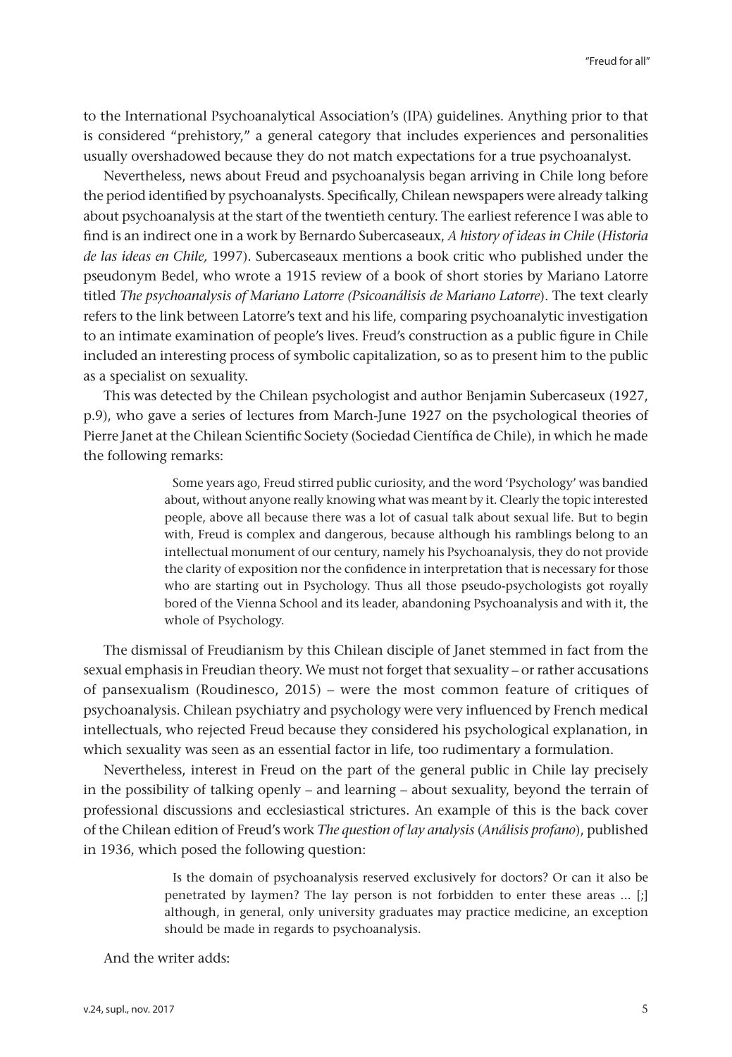to the International Psychoanalytical Association's (IPA) guidelines. Anything prior to that is considered "prehistory," a general category that includes experiences and personalities usually overshadowed because they do not match expectations for a true psychoanalyst.

Nevertheless, news about Freud and psychoanalysis began arriving in Chile long before the period identified by psychoanalysts. Specifically, Chilean newspapers were already talking about psychoanalysis at the start of the twentieth century. The earliest reference I was able to find is an indirect one in a work by Bernardo Subercaseaux, *A history of ideas in Chile* (*Historia de las ideas en Chile,* 1997). Subercaseaux mentions a book critic who published under the pseudonym Bedel, who wrote a 1915 review of a book of short stories by Mariano Latorre titled *The psychoanalysis of Mariano Latorre (Psicoanálisis de Mariano Latorre*). The text clearly refers to the link between Latorre's text and his life, comparing psychoanalytic investigation to an intimate examination of people's lives. Freud's construction as a public figure in Chile included an interesting process of symbolic capitalization, so as to present him to the public as a specialist on sexuality.

This was detected by the Chilean psychologist and author Benjamin Subercaseux (1927, p.9), who gave a series of lectures from March-June 1927 on the psychological theories of Pierre Janet at the Chilean Scientific Society (Sociedad Científica de Chile), in which he made the following remarks:

> Some years ago, Freud stirred public curiosity, and the word 'Psychology' was bandied about, without anyone really knowing what was meant by it. Clearly the topic interested people, above all because there was a lot of casual talk about sexual life. But to begin with, Freud is complex and dangerous, because although his ramblings belong to an intellectual monument of our century, namely his Psychoanalysis, they do not provide the clarity of exposition nor the confidence in interpretation that is necessary for those who are starting out in Psychology. Thus all those pseudo-psychologists got royally bored of the Vienna School and its leader, abandoning Psychoanalysis and with it, the whole of Psychology.

The dismissal of Freudianism by this Chilean disciple of Janet stemmed in fact from the sexual emphasis in Freudian theory. We must not forget that sexuality – or rather accusations of pansexualism (Roudinesco, 2015) – were the most common feature of critiques of psychoanalysis. Chilean psychiatry and psychology were very influenced by French medical intellectuals, who rejected Freud because they considered his psychological explanation, in which sexuality was seen as an essential factor in life, too rudimentary a formulation.

Nevertheless, interest in Freud on the part of the general public in Chile lay precisely in the possibility of talking openly – and learning – about sexuality, beyond the terrain of professional discussions and ecclesiastical strictures. An example of this is the back cover of the Chilean edition of Freud's work *The question of lay analysis* (*Análisis profano*), published in 1936, which posed the following question:

> Is the domain of psychoanalysis reserved exclusively for doctors? Or can it also be penetrated by laymen? The lay person is not forbidden to enter these areas ... [;] although, in general, only university graduates may practice medicine, an exception should be made in regards to psychoanalysis.

And the writer adds: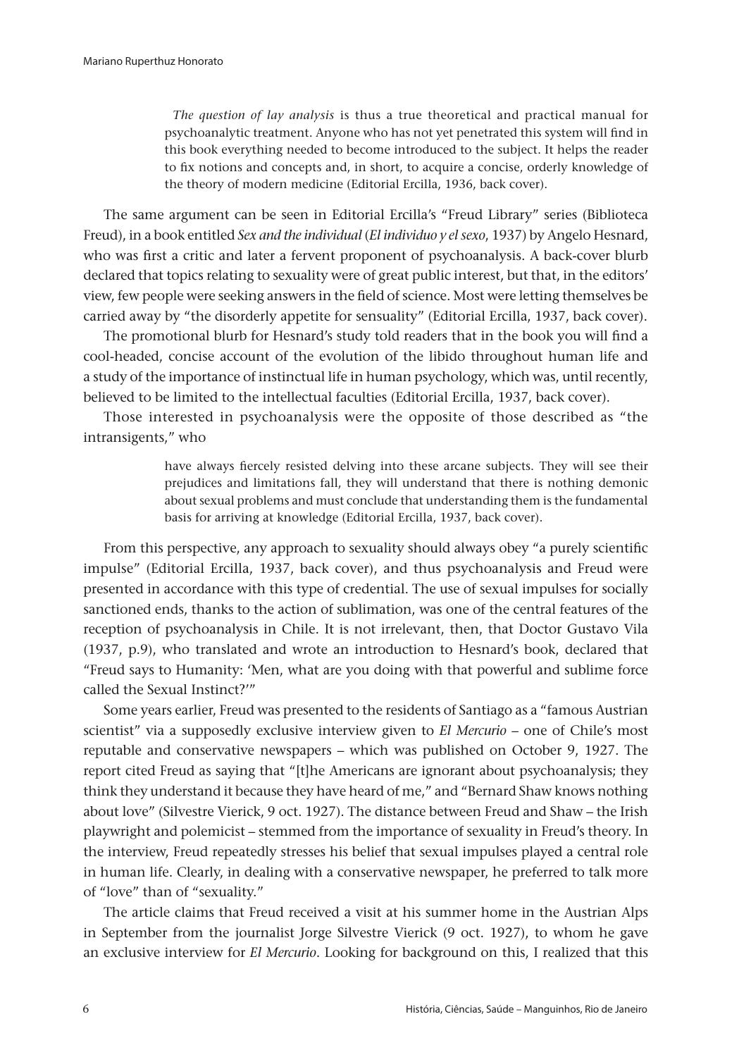*The question of lay analysis* is thus a true theoretical and practical manual for psychoanalytic treatment. Anyone who has not yet penetrated this system will find in this book everything needed to become introduced to the subject. It helps the reader to fix notions and concepts and, in short, to acquire a concise, orderly knowledge of the theory of modern medicine (Editorial Ercilla, 1936, back cover).

The same argument can be seen in Editorial Ercilla's "Freud Library" series (Biblioteca Freud), in a book entitled *Sex and the individual* (*El individuo y el sexo*, 1937) by Angelo Hesnard, who was first a critic and later a fervent proponent of psychoanalysis. A back-cover blurb declared that topics relating to sexuality were of great public interest, but that, in the editors' view, few people were seeking answers in the field of science. Most were letting themselves be carried away by "the disorderly appetite for sensuality" (Editorial Ercilla, 1937, back cover).

The promotional blurb for Hesnard's study told readers that in the book you will find a cool-headed, concise account of the evolution of the libido throughout human life and a study of the importance of instinctual life in human psychology, which was, until recently, believed to be limited to the intellectual faculties (Editorial Ercilla, 1937, back cover).

Those interested in psychoanalysis were the opposite of those described as "the intransigents," who

> have always fiercely resisted delving into these arcane subjects. They will see their prejudices and limitations fall, they will understand that there is nothing demonic about sexual problems and must conclude that understanding them is the fundamental basis for arriving at knowledge (Editorial Ercilla, 1937, back cover).

From this perspective, any approach to sexuality should always obey "a purely scientific impulse" (Editorial Ercilla, 1937, back cover), and thus psychoanalysis and Freud were presented in accordance with this type of credential. The use of sexual impulses for socially sanctioned ends, thanks to the action of sublimation, was one of the central features of the reception of psychoanalysis in Chile. It is not irrelevant, then, that Doctor Gustavo Vila (1937, p.9), who translated and wrote an introduction to Hesnard's book, declared that "Freud says to Humanity: 'Men, what are you doing with that powerful and sublime force called the Sexual Instinct?'"

Some years earlier, Freud was presented to the residents of Santiago as a "famous Austrian scientist" via a supposedly exclusive interview given to *El Mercurio* – one of Chile's most reputable and conservative newspapers – which was published on October 9, 1927. The report cited Freud as saying that "[t]he Americans are ignorant about psychoanalysis; they think they understand it because they have heard of me," and "Bernard Shaw knows nothing about love" (Silvestre Vierick, 9 oct. 1927). The distance between Freud and Shaw – the Irish playwright and polemicist – stemmed from the importance of sexuality in Freud's theory. In the interview, Freud repeatedly stresses his belief that sexual impulses played a central role in human life. Clearly, in dealing with a conservative newspaper, he preferred to talk more of "love" than of "sexuality."

The article claims that Freud received a visit at his summer home in the Austrian Alps in September from the journalist Jorge Silvestre Vierick (9 oct. 1927), to whom he gave an exclusive interview for *El Mercurio*. Looking for background on this, I realized that this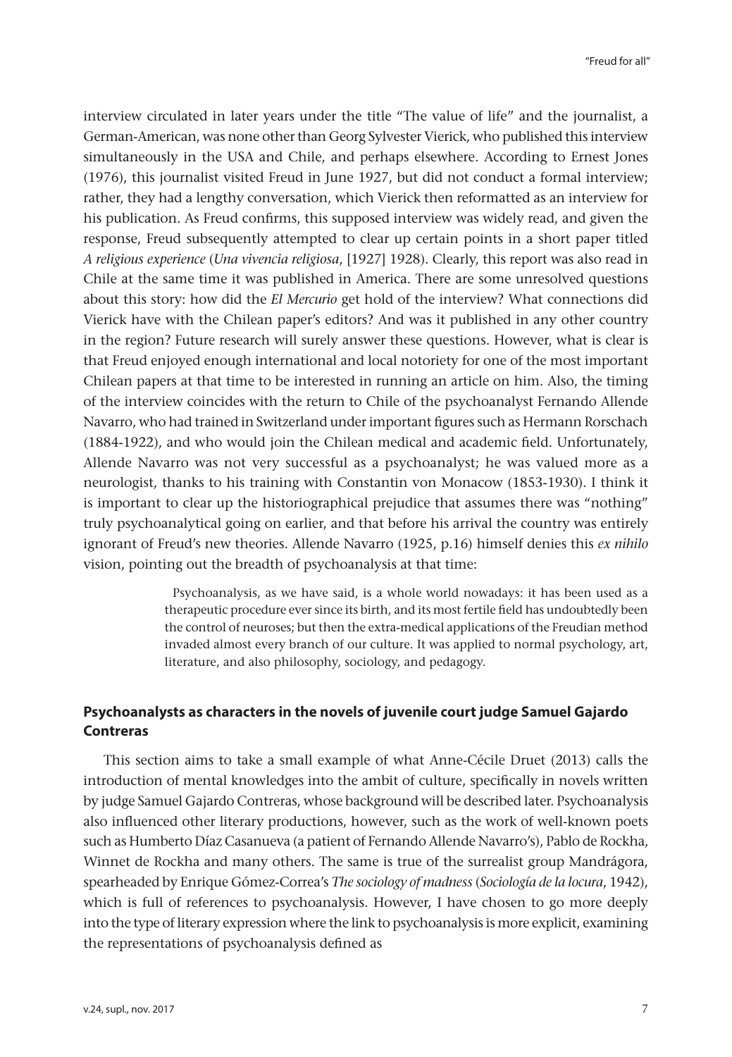interview circulated in later years under the title "The value of life" and the journalist, a German-American, was none other than Georg Sylvester Vierick, who published this interview simultaneously in the USA and Chile, and perhaps elsewhere. According to Ernest Jones (1976), this journalist visited Freud in June 1927, but did not conduct a formal interview; rather, they had a lengthy conversation, which Vierick then reformatted as an interview for his publication. As Freud confirms, this supposed interview was widely read, and given the response, Freud subsequently attempted to clear up certain points in a short paper titled *A religious experience* (*Una vivencia religiosa*, [1927] 1928). Clearly, this report was also read in Chile at the same time it was published in America. There are some unresolved questions about this story: how did the *El Mercurio* get hold of the interview? What connections did Vierick have with the Chilean paper's editors? And was it published in any other country in the region? Future research will surely answer these questions. However, what is clear is that Freud enjoyed enough international and local notoriety for one of the most important Chilean papers at that time to be interested in running an article on him. Also, the timing of the interview coincides with the return to Chile of the psychoanalyst Fernando Allende Navarro, who had trained in Switzerland under important figures such as Hermann Rorschach (1884-1922), and who would join the Chilean medical and academic field. Unfortunately, Allende Navarro was not very successful as a psychoanalyst; he was valued more as a neurologist, thanks to his training with Constantin von Monacow (1853-1930). I think it is important to clear up the historiographical prejudice that assumes there was "nothing" truly psychoanalytical going on earlier, and that before his arrival the country was entirely ignorant of Freud's new theories. Allende Navarro (1925, p.16) himself denies this *ex nihilo* vision, pointing out the breadth of psychoanalysis at that time:

> Psychoanalysis, as we have said, is a whole world nowadays: it has been used as a therapeutic procedure ever since its birth, and its most fertile field has undoubtedly been the control of neuroses; but then the extra-medical applications of the Freudian method invaded almost every branch of our culture. It was applied to normal psychology, art, literature, and also philosophy, sociology, and pedagogy.

# **Psychoanalysts as characters in the novels of juvenile court judge Samuel Gajardo Contreras**

This section aims to take a small example of what Anne-Cécile Druet (2013) calls the introduction of mental knowledges into the ambit of culture, specifically in novels written by judge Samuel Gajardo Contreras, whose background will be described later. Psychoanalysis also influenced other literary productions, however, such as the work of well-known poets such as Humberto Díaz Casanueva (a patient of Fernando Allende Navarro's), Pablo de Rockha, Winnet de Rockha and many others. The same is true of the surrealist group Mandrágora, spearheaded by Enrique Gómez-Correa's *The sociology of madness* (*Sociología de la locura*, 1942), which is full of references to psychoanalysis. However, I have chosen to go more deeply into the type of literary expression where the link to psychoanalysis is more explicit, examining the representations of psychoanalysis defined as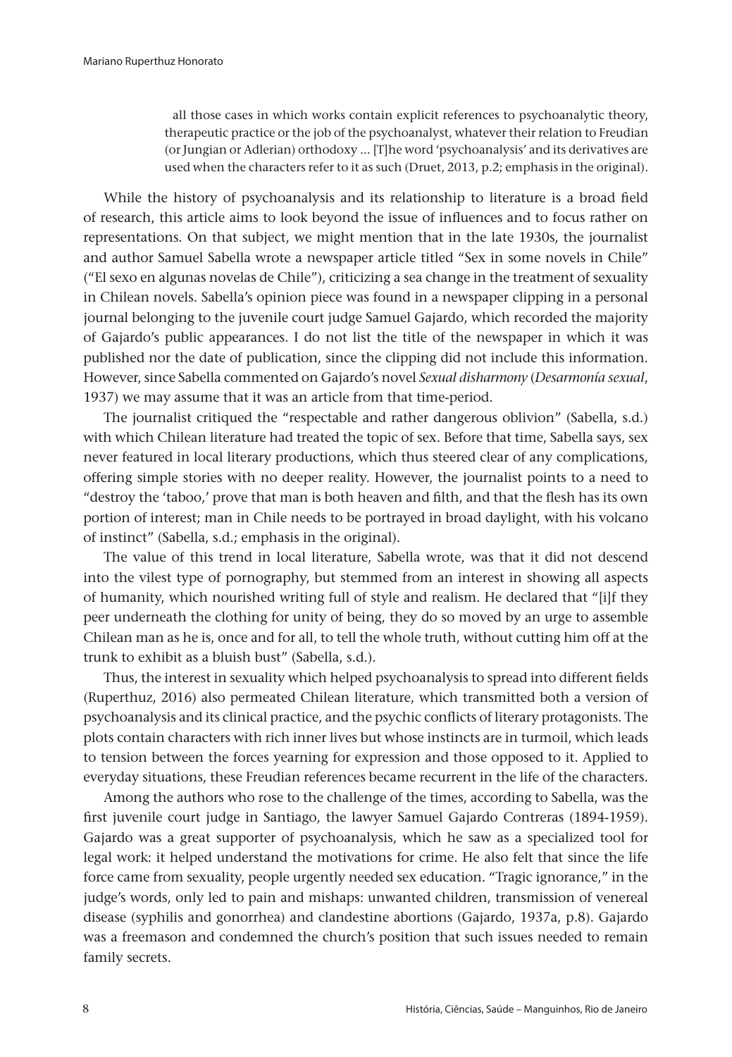all those cases in which works contain explicit references to psychoanalytic theory, therapeutic practice or the job of the psychoanalyst, whatever their relation to Freudian (or Jungian or Adlerian) orthodoxy ... [T]he word 'psychoanalysis' and its derivatives are used when the characters refer to it as such (Druet, 2013, p.2; emphasis in the original).

While the history of psychoanalysis and its relationship to literature is a broad field of research, this article aims to look beyond the issue of influences and to focus rather on representations. On that subject, we might mention that in the late 1930s, the journalist and author Samuel Sabella wrote a newspaper article titled "Sex in some novels in Chile" ("El sexo en algunas novelas de Chile"), criticizing a sea change in the treatment of sexuality in Chilean novels. Sabella's opinion piece was found in a newspaper clipping in a personal journal belonging to the juvenile court judge Samuel Gajardo, which recorded the majority of Gajardo's public appearances. I do not list the title of the newspaper in which it was published nor the date of publication, since the clipping did not include this information. However, since Sabella commented on Gajardo's novel *Sexual disharmony* (*Desarmonía sexual*, 1937) we may assume that it was an article from that time-period.

The journalist critiqued the "respectable and rather dangerous oblivion" (Sabella, s.d.) with which Chilean literature had treated the topic of sex. Before that time, Sabella says, sex never featured in local literary productions, which thus steered clear of any complications, offering simple stories with no deeper reality. However, the journalist points to a need to "destroy the 'taboo,' prove that man is both heaven and filth, and that the flesh has its own portion of interest; man in Chile needs to be portrayed in broad daylight, with his volcano of instinct" (Sabella, s.d.; emphasis in the original).

The value of this trend in local literature, Sabella wrote, was that it did not descend into the vilest type of pornography, but stemmed from an interest in showing all aspects of humanity, which nourished writing full of style and realism. He declared that "[i]f they peer underneath the clothing for unity of being, they do so moved by an urge to assemble Chilean man as he is, once and for all, to tell the whole truth, without cutting him off at the trunk to exhibit as a bluish bust" (Sabella, s.d.).

Thus, the interest in sexuality which helped psychoanalysis to spread into different fields (Ruperthuz, 2016) also permeated Chilean literature, which transmitted both a version of psychoanalysis and its clinical practice, and the psychic conflicts of literary protagonists. The plots contain characters with rich inner lives but whose instincts are in turmoil, which leads to tension between the forces yearning for expression and those opposed to it. Applied to everyday situations, these Freudian references became recurrent in the life of the characters.

Among the authors who rose to the challenge of the times, according to Sabella, was the first juvenile court judge in Santiago, the lawyer Samuel Gajardo Contreras (1894-1959). Gajardo was a great supporter of psychoanalysis, which he saw as a specialized tool for legal work: it helped understand the motivations for crime. He also felt that since the life force came from sexuality, people urgently needed sex education. "Tragic ignorance," in the judge's words, only led to pain and mishaps: unwanted children, transmission of venereal disease (syphilis and gonorrhea) and clandestine abortions (Gajardo, 1937a, p.8). Gajardo was a freemason and condemned the church's position that such issues needed to remain family secrets.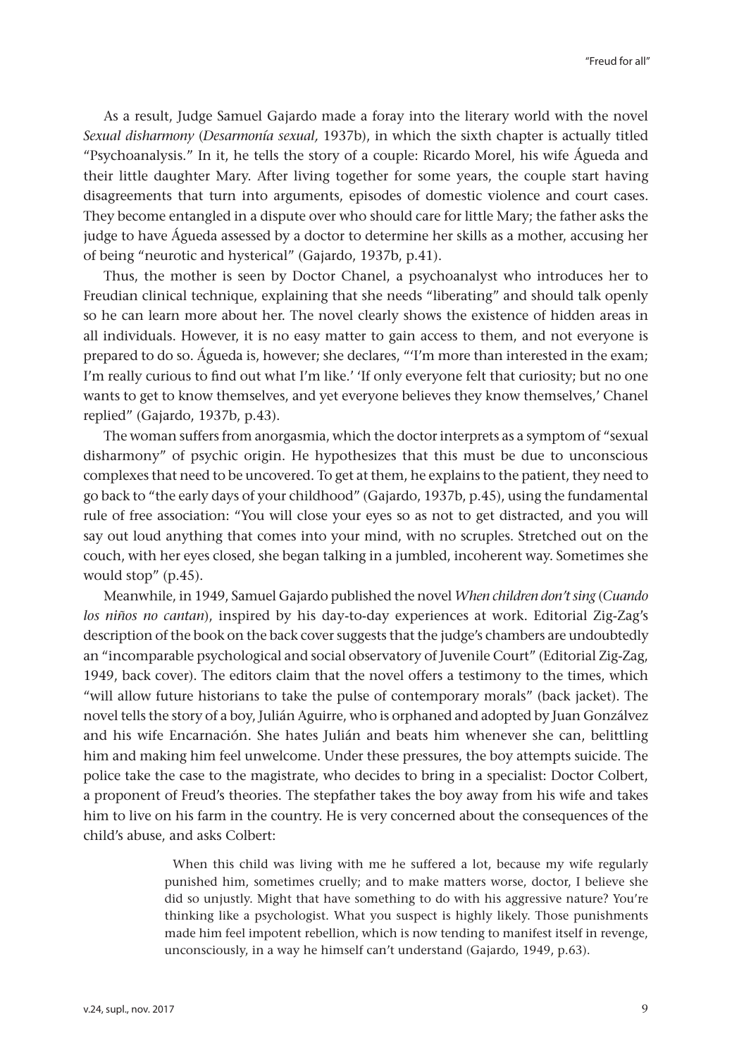As a result, Judge Samuel Gajardo made a foray into the literary world with the novel *Sexual disharmony* (*Desarmonía sexual,* 1937b), in which the sixth chapter is actually titled "Psychoanalysis." In it, he tells the story of a couple: Ricardo Morel, his wife Águeda and their little daughter Mary. After living together for some years, the couple start having disagreements that turn into arguments, episodes of domestic violence and court cases. They become entangled in a dispute over who should care for little Mary; the father asks the judge to have Águeda assessed by a doctor to determine her skills as a mother, accusing her of being "neurotic and hysterical" (Gajardo, 1937b, p.41).

Thus, the mother is seen by Doctor Chanel, a psychoanalyst who introduces her to Freudian clinical technique, explaining that she needs "liberating" and should talk openly so he can learn more about her. The novel clearly shows the existence of hidden areas in all individuals. However, it is no easy matter to gain access to them, and not everyone is prepared to do so. Águeda is, however; she declares, "'I'm more than interested in the exam; I'm really curious to find out what I'm like.' 'If only everyone felt that curiosity; but no one wants to get to know themselves, and yet everyone believes they know themselves,' Chanel replied" (Gajardo, 1937b, p.43).

The woman suffers from anorgasmia, which the doctor interprets as a symptom of "sexual disharmony" of psychic origin. He hypothesizes that this must be due to unconscious complexes that need to be uncovered. To get at them, he explains to the patient, they need to go back to "the early days of your childhood" (Gajardo, 1937b, p.45), using the fundamental rule of free association: "You will close your eyes so as not to get distracted, and you will say out loud anything that comes into your mind, with no scruples. Stretched out on the couch, with her eyes closed, she began talking in a jumbled, incoherent way. Sometimes she would stop" (p.45).

Meanwhile, in 1949, Samuel Gajardo published the novel *When children don't sing* (*Cuando los niños no cantan*), inspired by his day-to-day experiences at work. Editorial Zig-Zag's description of the book on the back cover suggests that the judge's chambers are undoubtedly an "incomparable psychological and social observatory of Juvenile Court" (Editorial Zig-Zag, 1949, back cover). The editors claim that the novel offers a testimony to the times, which "will allow future historians to take the pulse of contemporary morals" (back jacket). The novel tells the story of a boy, Julián Aguirre, who is orphaned and adopted by Juan Gonzálvez and his wife Encarnación. She hates Julián and beats him whenever she can, belittling him and making him feel unwelcome. Under these pressures, the boy attempts suicide. The police take the case to the magistrate, who decides to bring in a specialist: Doctor Colbert, a proponent of Freud's theories. The stepfather takes the boy away from his wife and takes him to live on his farm in the country. He is very concerned about the consequences of the child's abuse, and asks Colbert:

> When this child was living with me he suffered a lot, because my wife regularly punished him, sometimes cruelly; and to make matters worse, doctor, I believe she did so unjustly. Might that have something to do with his aggressive nature? You're thinking like a psychologist. What you suspect is highly likely. Those punishments made him feel impotent rebellion, which is now tending to manifest itself in revenge, unconsciously, in a way he himself can't understand (Gajardo, 1949, p.63).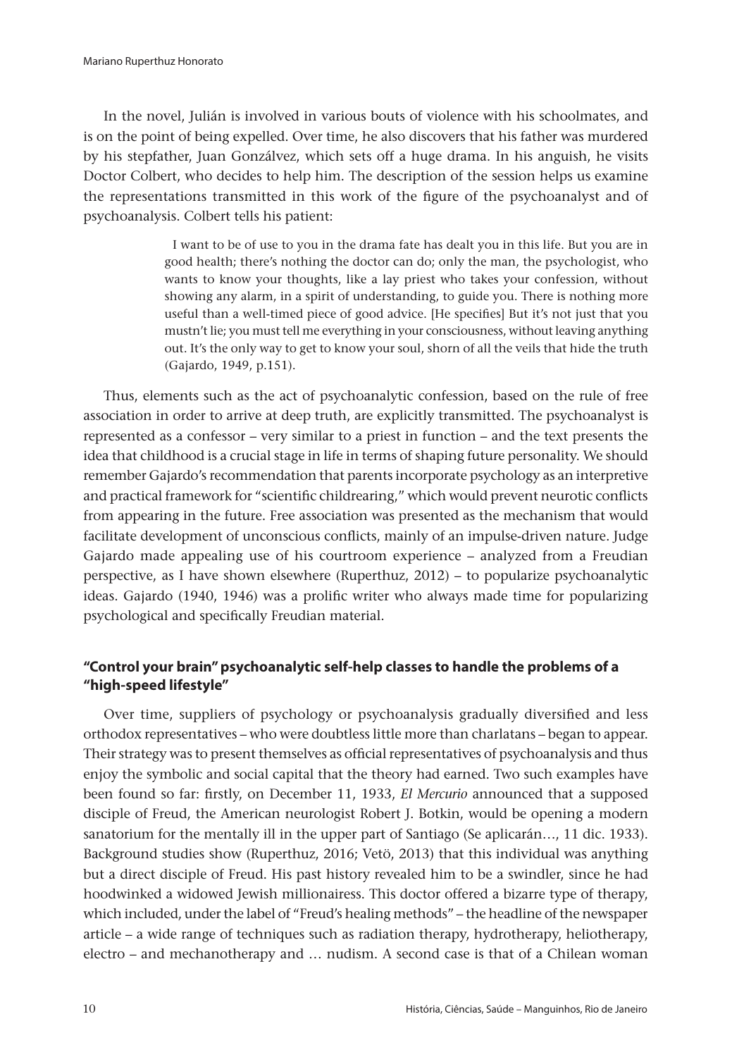In the novel, Julián is involved in various bouts of violence with his schoolmates, and is on the point of being expelled. Over time, he also discovers that his father was murdered by his stepfather, Juan Gonzálvez, which sets off a huge drama. In his anguish, he visits Doctor Colbert, who decides to help him. The description of the session helps us examine the representations transmitted in this work of the figure of the psychoanalyst and of psychoanalysis. Colbert tells his patient:

> I want to be of use to you in the drama fate has dealt you in this life. But you are in good health; there's nothing the doctor can do; only the man, the psychologist, who wants to know your thoughts, like a lay priest who takes your confession, without showing any alarm, in a spirit of understanding, to guide you. There is nothing more useful than a well-timed piece of good advice. [He specifies] But it's not just that you mustn't lie; you must tell me everything in your consciousness, without leaving anything out. It's the only way to get to know your soul, shorn of all the veils that hide the truth (Gajardo, 1949, p.151).

Thus, elements such as the act of psychoanalytic confession, based on the rule of free association in order to arrive at deep truth, are explicitly transmitted. The psychoanalyst is represented as a confessor – very similar to a priest in function – and the text presents the idea that childhood is a crucial stage in life in terms of shaping future personality. We should remember Gajardo's recommendation that parents incorporate psychology as an interpretive and practical framework for "scientific childrearing," which would prevent neurotic conflicts from appearing in the future. Free association was presented as the mechanism that would facilitate development of unconscious conflicts, mainly of an impulse-driven nature. Judge Gajardo made appealing use of his courtroom experience – analyzed from a Freudian perspective, as I have shown elsewhere (Ruperthuz, 2012) – to popularize psychoanalytic ideas. Gajardo (1940, 1946) was a prolific writer who always made time for popularizing psychological and specifically Freudian material.

# **"Control your brain" psychoanalytic self-help classes to handle the problems of a "high-speed lifestyle"**

Over time, suppliers of psychology or psychoanalysis gradually diversified and less orthodox representatives – who were doubtless little more than charlatans – began to appear. Their strategy was to present themselves as official representatives of psychoanalysis and thus enjoy the symbolic and social capital that the theory had earned. Two such examples have been found so far: firstly, on December 11, 1933, *El Mercurio* announced that a supposed disciple of Freud, the American neurologist Robert J. Botkin, would be opening a modern sanatorium for the mentally ill in the upper part of Santiago (Se aplicarán..., 11 dic. 1933). Background studies show (Ruperthuz, 2016; Vetö, 2013) that this individual was anything but a direct disciple of Freud. His past history revealed him to be a swindler, since he had hoodwinked a widowed Jewish millionairess. This doctor offered a bizarre type of therapy, which included, under the label of "Freud's healing methods" – the headline of the newspaper article – a wide range of techniques such as radiation therapy, hydrotherapy, heliotherapy, electro – and mechanotherapy and … nudism. A second case is that of a Chilean woman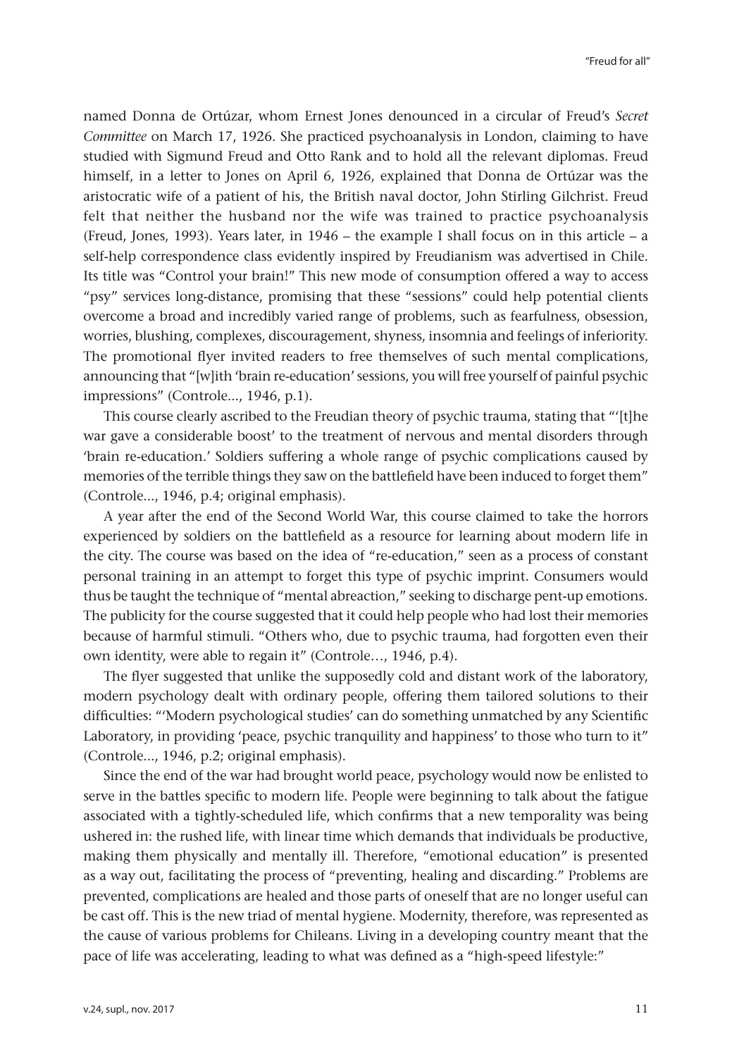named Donna de Ortúzar, whom Ernest Jones denounced in a circular of Freud's *Secret Committee* on March 17, 1926. She practiced psychoanalysis in London, claiming to have studied with Sigmund Freud and Otto Rank and to hold all the relevant diplomas. Freud himself, in a letter to Jones on April 6, 1926, explained that Donna de Ortúzar was the aristocratic wife of a patient of his, the British naval doctor, John Stirling Gilchrist. Freud felt that neither the husband nor the wife was trained to practice psychoanalysis (Freud, Jones, 1993). Years later, in 1946 – the example I shall focus on in this article – a self-help correspondence class evidently inspired by Freudianism was advertised in Chile. Its title was "Control your brain!" This new mode of consumption offered a way to access "psy" services long-distance, promising that these "sessions" could help potential clients overcome a broad and incredibly varied range of problems, such as fearfulness, obsession, worries, blushing, complexes, discouragement, shyness, insomnia and feelings of inferiority. The promotional flyer invited readers to free themselves of such mental complications, announcing that "[w]ith 'brain re-education' sessions, you will free yourself of painful psychic impressions" (Controle..., 1946, p.1).

This course clearly ascribed to the Freudian theory of psychic trauma, stating that "'[t]he war gave a considerable boost' to the treatment of nervous and mental disorders through 'brain re-education.' Soldiers suffering a whole range of psychic complications caused by memories of the terrible things they saw on the battlefield have been induced to forget them" (Controle..., 1946, p.4; original emphasis).

A year after the end of the Second World War, this course claimed to take the horrors experienced by soldiers on the battlefield as a resource for learning about modern life in the city. The course was based on the idea of "re-education," seen as a process of constant personal training in an attempt to forget this type of psychic imprint. Consumers would thus be taught the technique of "mental abreaction," seeking to discharge pent-up emotions. The publicity for the course suggested that it could help people who had lost their memories because of harmful stimuli. "Others who, due to psychic trauma, had forgotten even their own identity, were able to regain it" (Controle…, 1946, p.4).

The flyer suggested that unlike the supposedly cold and distant work of the laboratory, modern psychology dealt with ordinary people, offering them tailored solutions to their difficulties: "'Modern psychological studies' can do something unmatched by any Scientific Laboratory, in providing 'peace, psychic tranquility and happiness' to those who turn to it" (Controle..., 1946, p.2; original emphasis).

Since the end of the war had brought world peace, psychology would now be enlisted to serve in the battles specific to modern life. People were beginning to talk about the fatigue associated with a tightly-scheduled life, which confirms that a new temporality was being ushered in: the rushed life, with linear time which demands that individuals be productive, making them physically and mentally ill. Therefore, "emotional education" is presented as a way out, facilitating the process of "preventing, healing and discarding." Problems are prevented, complications are healed and those parts of oneself that are no longer useful can be cast off. This is the new triad of mental hygiene. Modernity, therefore, was represented as the cause of various problems for Chileans. Living in a developing country meant that the pace of life was accelerating, leading to what was defined as a "high-speed lifestyle:"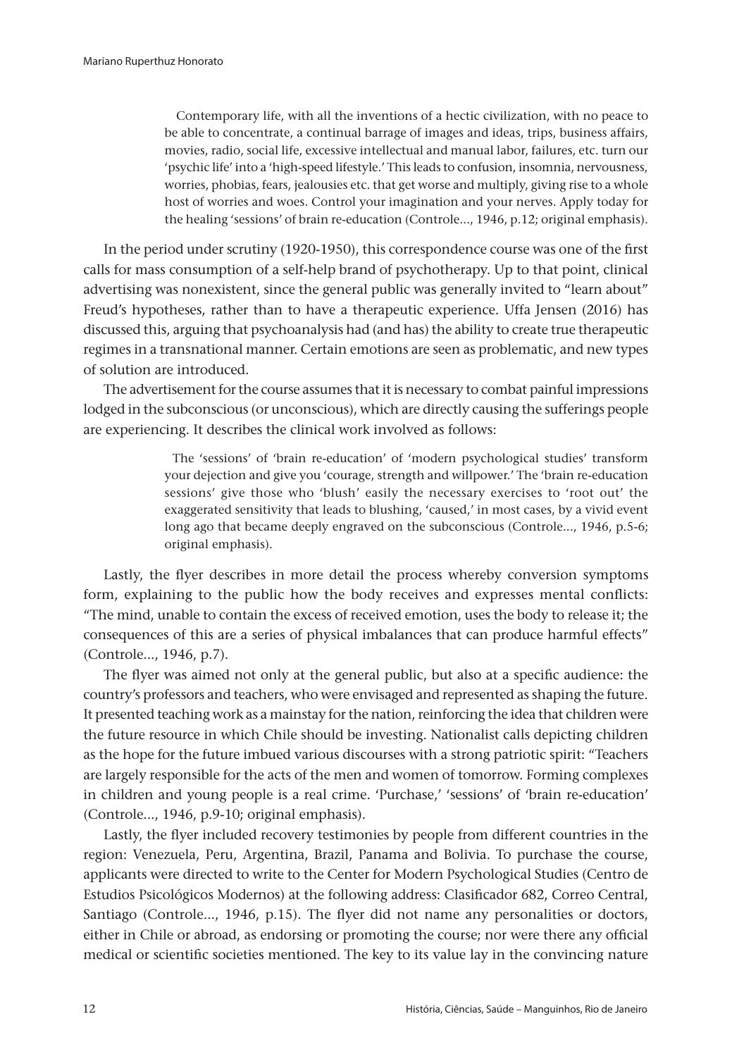Contemporary life, with all the inventions of a hectic civilization, with no peace to be able to concentrate, a continual barrage of images and ideas, trips, business affairs, movies, radio, social life, excessive intellectual and manual labor, failures, etc. turn our 'psychic life' into a 'high-speed lifestyle.' This leads to confusion, insomnia, nervousness, worries, phobias, fears, jealousies etc. that get worse and multiply, giving rise to a whole host of worries and woes. Control your imagination and your nerves. Apply today for the healing 'sessions' of brain re-education (Controle..., 1946, p.12; original emphasis).

In the period under scrutiny (1920-1950), this correspondence course was one of the first calls for mass consumption of a self-help brand of psychotherapy. Up to that point, clinical advertising was nonexistent, since the general public was generally invited to "learn about" Freud's hypotheses, rather than to have a therapeutic experience. Uffa Jensen (2016) has discussed this, arguing that psychoanalysis had (and has) the ability to create true therapeutic regimes in a transnational manner. Certain emotions are seen as problematic, and new types of solution are introduced.

The advertisement for the course assumes that it is necessary to combat painful impressions lodged in the subconscious (or unconscious), which are directly causing the sufferings people are experiencing. It describes the clinical work involved as follows:

> The 'sessions' of 'brain re-education' of 'modern psychological studies' transform your dejection and give you 'courage, strength and willpower.' The 'brain re-education sessions' give those who 'blush' easily the necessary exercises to 'root out' the exaggerated sensitivity that leads to blushing, 'caused,' in most cases, by a vivid event long ago that became deeply engraved on the subconscious (Controle..., 1946, p.5-6; original emphasis).

Lastly, the flyer describes in more detail the process whereby conversion symptoms form, explaining to the public how the body receives and expresses mental conflicts: "The mind, unable to contain the excess of received emotion, uses the body to release it; the consequences of this are a series of physical imbalances that can produce harmful effects" (Controle..., 1946, p.7).

The flyer was aimed not only at the general public, but also at a specific audience: the country's professors and teachers, who were envisaged and represented as shaping the future. It presented teaching work as a mainstay for the nation, reinforcing the idea that children were the future resource in which Chile should be investing. Nationalist calls depicting children as the hope for the future imbued various discourses with a strong patriotic spirit: "Teachers are largely responsible for the acts of the men and women of tomorrow. Forming complexes in children and young people is a real crime. 'Purchase,' 'sessions' of 'brain re-education' (Controle..., 1946, p.9-10; original emphasis).

Lastly, the flyer included recovery testimonies by people from different countries in the region: Venezuela, Peru, Argentina, Brazil, Panama and Bolivia. To purchase the course, applicants were directed to write to the Center for Modern Psychological Studies (Centro de Estudios Psicológicos Modernos) at the following address: Clasificador 682, Correo Central, Santiago (Controle..., 1946, p.15). The flyer did not name any personalities or doctors, either in Chile or abroad, as endorsing or promoting the course; nor were there any official medical or scientific societies mentioned. The key to its value lay in the convincing nature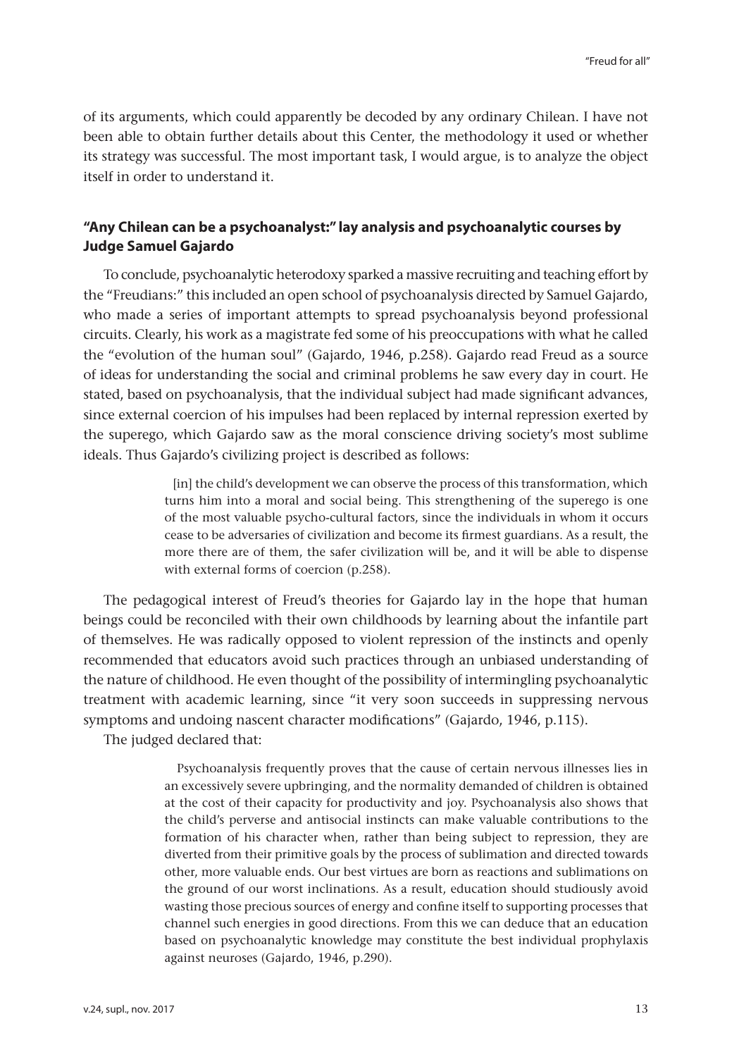of its arguments, which could apparently be decoded by any ordinary Chilean. I have not been able to obtain further details about this Center, the methodology it used or whether its strategy was successful. The most important task, I would argue, is to analyze the object itself in order to understand it.

# **"Any Chilean can be a psychoanalyst:" lay analysis and psychoanalytic courses by Judge Samuel Gajardo**

To conclude, psychoanalytic heterodoxy sparked a massive recruiting and teaching effort by the "Freudians:" this included an open school of psychoanalysis directed by Samuel Gajardo, who made a series of important attempts to spread psychoanalysis beyond professional circuits. Clearly, his work as a magistrate fed some of his preoccupations with what he called the "evolution of the human soul" (Gajardo, 1946, p.258). Gajardo read Freud as a source of ideas for understanding the social and criminal problems he saw every day in court. He stated, based on psychoanalysis, that the individual subject had made significant advances, since external coercion of his impulses had been replaced by internal repression exerted by the superego, which Gajardo saw as the moral conscience driving society's most sublime ideals. Thus Gajardo's civilizing project is described as follows:

> [in] the child's development we can observe the process of this transformation, which turns him into a moral and social being. This strengthening of the superego is one of the most valuable psycho-cultural factors, since the individuals in whom it occurs cease to be adversaries of civilization and become its firmest guardians. As a result, the more there are of them, the safer civilization will be, and it will be able to dispense with external forms of coercion (p.258).

The pedagogical interest of Freud's theories for Gajardo lay in the hope that human beings could be reconciled with their own childhoods by learning about the infantile part of themselves. He was radically opposed to violent repression of the instincts and openly recommended that educators avoid such practices through an unbiased understanding of the nature of childhood. He even thought of the possibility of intermingling psychoanalytic treatment with academic learning, since "it very soon succeeds in suppressing nervous symptoms and undoing nascent character modifications" (Gajardo, 1946, p.115).

The judged declared that:

 Psychoanalysis frequently proves that the cause of certain nervous illnesses lies in an excessively severe upbringing, and the normality demanded of children is obtained at the cost of their capacity for productivity and joy. Psychoanalysis also shows that the child's perverse and antisocial instincts can make valuable contributions to the formation of his character when, rather than being subject to repression, they are diverted from their primitive goals by the process of sublimation and directed towards other, more valuable ends. Our best virtues are born as reactions and sublimations on the ground of our worst inclinations. As a result, education should studiously avoid wasting those precious sources of energy and confine itself to supporting processes that channel such energies in good directions. From this we can deduce that an education based on psychoanalytic knowledge may constitute the best individual prophylaxis against neuroses (Gajardo, 1946, p.290).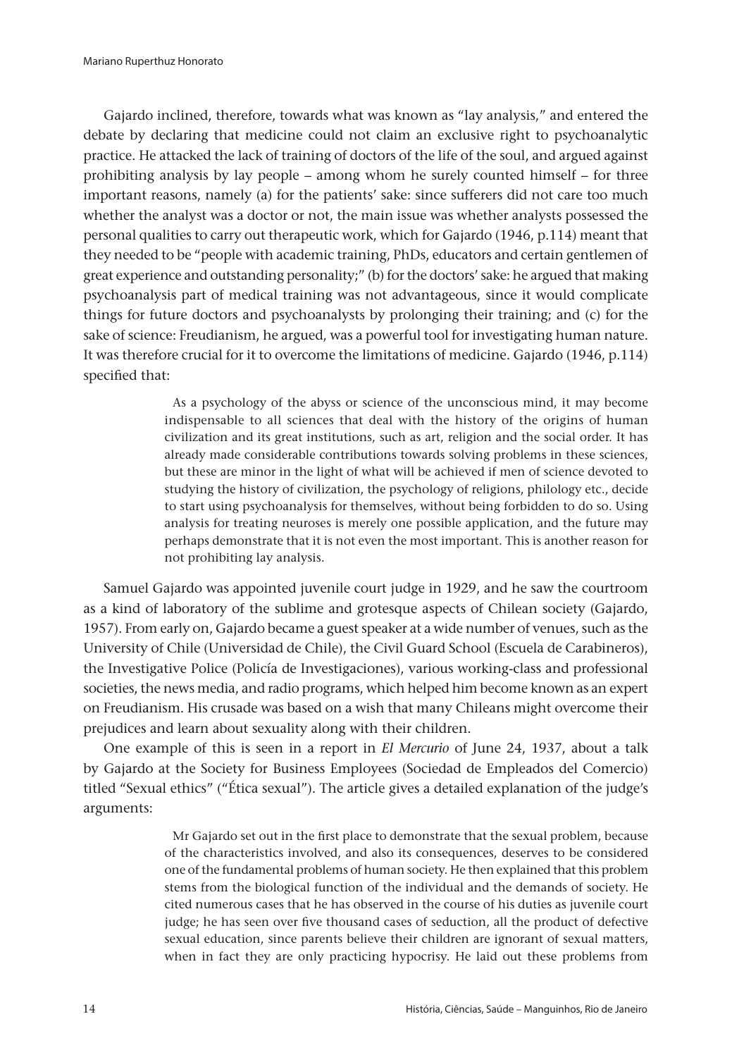Gajardo inclined, therefore, towards what was known as "lay analysis," and entered the debate by declaring that medicine could not claim an exclusive right to psychoanalytic practice. He attacked the lack of training of doctors of the life of the soul, and argued against prohibiting analysis by lay people – among whom he surely counted himself – for three important reasons, namely (a) for the patients' sake: since sufferers did not care too much whether the analyst was a doctor or not, the main issue was whether analysts possessed the personal qualities to carry out therapeutic work, which for Gajardo (1946, p.114) meant that they needed to be "people with academic training, PhDs, educators and certain gentlemen of great experience and outstanding personality;" (b) for the doctors' sake: he argued that making psychoanalysis part of medical training was not advantageous, since it would complicate things for future doctors and psychoanalysts by prolonging their training; and (c) for the sake of science: Freudianism, he argued, was a powerful tool for investigating human nature. It was therefore crucial for it to overcome the limitations of medicine. Gajardo (1946, p.114) specified that:

> As a psychology of the abyss or science of the unconscious mind, it may become indispensable to all sciences that deal with the history of the origins of human civilization and its great institutions, such as art, religion and the social order. It has already made considerable contributions towards solving problems in these sciences, but these are minor in the light of what will be achieved if men of science devoted to studying the history of civilization, the psychology of religions, philology etc., decide to start using psychoanalysis for themselves, without being forbidden to do so. Using analysis for treating neuroses is merely one possible application, and the future may perhaps demonstrate that it is not even the most important. This is another reason for not prohibiting lay analysis.

Samuel Gajardo was appointed juvenile court judge in 1929, and he saw the courtroom as a kind of laboratory of the sublime and grotesque aspects of Chilean society (Gajardo, 1957). From early on, Gajardo became a guest speaker at a wide number of venues, such as the University of Chile (Universidad de Chile), the Civil Guard School (Escuela de Carabineros), the Investigative Police (Policía de Investigaciones), various working-class and professional societies, the news media, and radio programs, which helped him become known as an expert on Freudianism. His crusade was based on a wish that many Chileans might overcome their prejudices and learn about sexuality along with their children.

One example of this is seen in a report in *El Mercurio* of June 24, 1937, about a talk by Gajardo at the Society for Business Employees (Sociedad de Empleados del Comercio) titled "Sexual ethics" ("Ética sexual"). The article gives a detailed explanation of the judge's arguments:

> Mr Gajardo set out in the first place to demonstrate that the sexual problem, because of the characteristics involved, and also its consequences, deserves to be considered one of the fundamental problems of human society. He then explained that this problem stems from the biological function of the individual and the demands of society. He cited numerous cases that he has observed in the course of his duties as juvenile court judge; he has seen over five thousand cases of seduction, all the product of defective sexual education, since parents believe their children are ignorant of sexual matters, when in fact they are only practicing hypocrisy. He laid out these problems from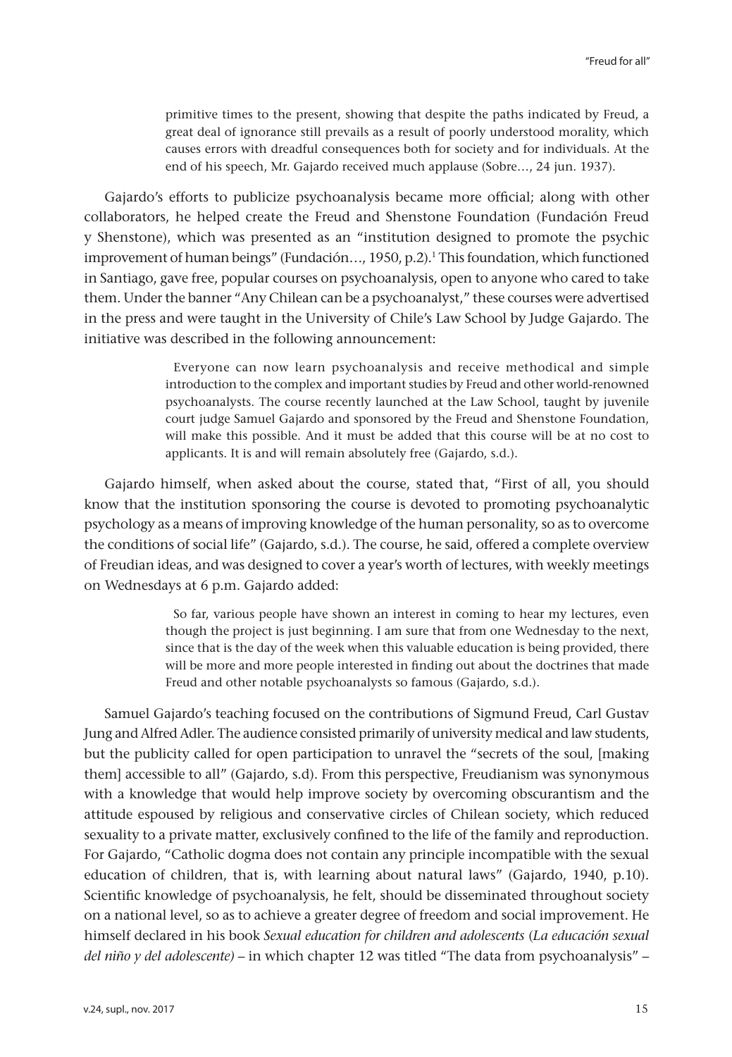primitive times to the present, showing that despite the paths indicated by Freud, a great deal of ignorance still prevails as a result of poorly understood morality, which causes errors with dreadful consequences both for society and for individuals. At the end of his speech, Mr. Gajardo received much applause (Sobre…, 24 jun. 1937).

Gajardo's efforts to publicize psychoanalysis became more official; along with other collaborators, he helped create the Freud and Shenstone Foundation (Fundación Freud y Shenstone), which was presented as an "institution designed to promote the psychic improvement of human beings" (Fundación…, 1950, p.2). 1 This foundation, which functioned in Santiago, gave free, popular courses on psychoanalysis, open to anyone who cared to take them. Under the banner "Any Chilean can be a psychoanalyst," these courses were advertised in the press and were taught in the University of Chile's Law School by Judge Gajardo. The initiative was described in the following announcement:

> Everyone can now learn psychoanalysis and receive methodical and simple introduction to the complex and important studies by Freud and other world-renowned psychoanalysts. The course recently launched at the Law School, taught by juvenile court judge Samuel Gajardo and sponsored by the Freud and Shenstone Foundation, will make this possible. And it must be added that this course will be at no cost to applicants. It is and will remain absolutely free (Gajardo, s.d.).

Gajardo himself, when asked about the course, stated that, "First of all, you should know that the institution sponsoring the course is devoted to promoting psychoanalytic psychology as a means of improving knowledge of the human personality, so as to overcome the conditions of social life" (Gajardo, s.d.). The course, he said, offered a complete overview of Freudian ideas, and was designed to cover a year's worth of lectures, with weekly meetings on Wednesdays at 6 p.m. Gajardo added:

> So far, various people have shown an interest in coming to hear my lectures, even though the project is just beginning. I am sure that from one Wednesday to the next, since that is the day of the week when this valuable education is being provided, there will be more and more people interested in finding out about the doctrines that made Freud and other notable psychoanalysts so famous (Gajardo, s.d.).

Samuel Gajardo's teaching focused on the contributions of Sigmund Freud, Carl Gustav Jung and Alfred Adler. The audience consisted primarily of university medical and law students, but the publicity called for open participation to unravel the "secrets of the soul, [making them] accessible to all" (Gajardo, s.d). From this perspective, Freudianism was synonymous with a knowledge that would help improve society by overcoming obscurantism and the attitude espoused by religious and conservative circles of Chilean society, which reduced sexuality to a private matter, exclusively confined to the life of the family and reproduction. For Gajardo, "Catholic dogma does not contain any principle incompatible with the sexual education of children, that is, with learning about natural laws" (Gajardo, 1940, p.10). Scientific knowledge of psychoanalysis, he felt, should be disseminated throughout society on a national level, so as to achieve a greater degree of freedom and social improvement. He himself declared in his book *Sexual education for children and adolescents* (*La educación sexual del niño y del adolescente)* – in which chapter 12 was titled "The data from psychoanalysis" –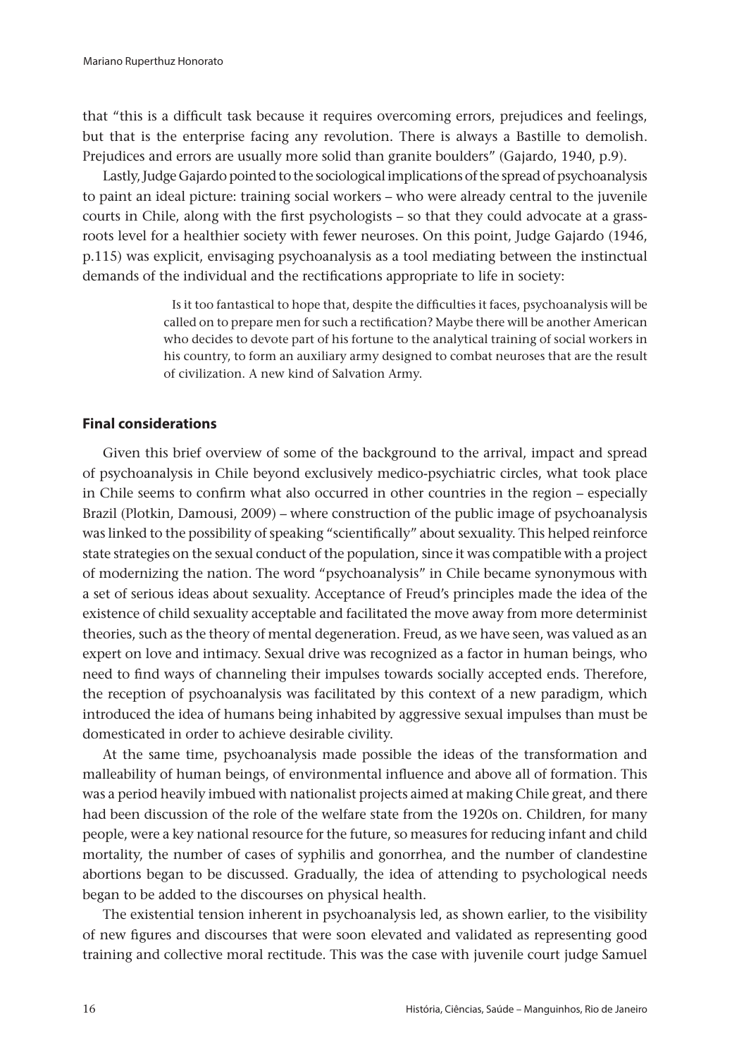that "this is a difficult task because it requires overcoming errors, prejudices and feelings, but that is the enterprise facing any revolution. There is always a Bastille to demolish. Prejudices and errors are usually more solid than granite boulders" (Gajardo, 1940, p.9).

Lastly, Judge Gajardo pointed to the sociological implications of the spread of psychoanalysis to paint an ideal picture: training social workers – who were already central to the juvenile courts in Chile, along with the first psychologists – so that they could advocate at a grassroots level for a healthier society with fewer neuroses. On this point, Judge Gajardo (1946, p.115) was explicit, envisaging psychoanalysis as a tool mediating between the instinctual demands of the individual and the rectifications appropriate to life in society:

> Is it too fantastical to hope that, despite the difficulties it faces, psychoanalysis will be called on to prepare men for such a rectification? Maybe there will be another American who decides to devote part of his fortune to the analytical training of social workers in his country, to form an auxiliary army designed to combat neuroses that are the result of civilization. A new kind of Salvation Army.

# **Final considerations**

Given this brief overview of some of the background to the arrival, impact and spread of psychoanalysis in Chile beyond exclusively medico-psychiatric circles, what took place in Chile seems to confirm what also occurred in other countries in the region – especially Brazil (Plotkin, Damousi, 2009) – where construction of the public image of psychoanalysis was linked to the possibility of speaking "scientifically" about sexuality. This helped reinforce state strategies on the sexual conduct of the population, since it was compatible with a project of modernizing the nation. The word "psychoanalysis" in Chile became synonymous with a set of serious ideas about sexuality. Acceptance of Freud's principles made the idea of the existence of child sexuality acceptable and facilitated the move away from more determinist theories, such as the theory of mental degeneration. Freud, as we have seen, was valued as an expert on love and intimacy. Sexual drive was recognized as a factor in human beings, who need to find ways of channeling their impulses towards socially accepted ends. Therefore, the reception of psychoanalysis was facilitated by this context of a new paradigm, which introduced the idea of humans being inhabited by aggressive sexual impulses than must be domesticated in order to achieve desirable civility.

At the same time, psychoanalysis made possible the ideas of the transformation and malleability of human beings, of environmental influence and above all of formation. This was a period heavily imbued with nationalist projects aimed at making Chile great, and there had been discussion of the role of the welfare state from the 1920s on. Children, for many people, were a key national resource for the future, so measures for reducing infant and child mortality, the number of cases of syphilis and gonorrhea, and the number of clandestine abortions began to be discussed. Gradually, the idea of attending to psychological needs began to be added to the discourses on physical health.

The existential tension inherent in psychoanalysis led, as shown earlier, to the visibility of new figures and discourses that were soon elevated and validated as representing good training and collective moral rectitude. This was the case with juvenile court judge Samuel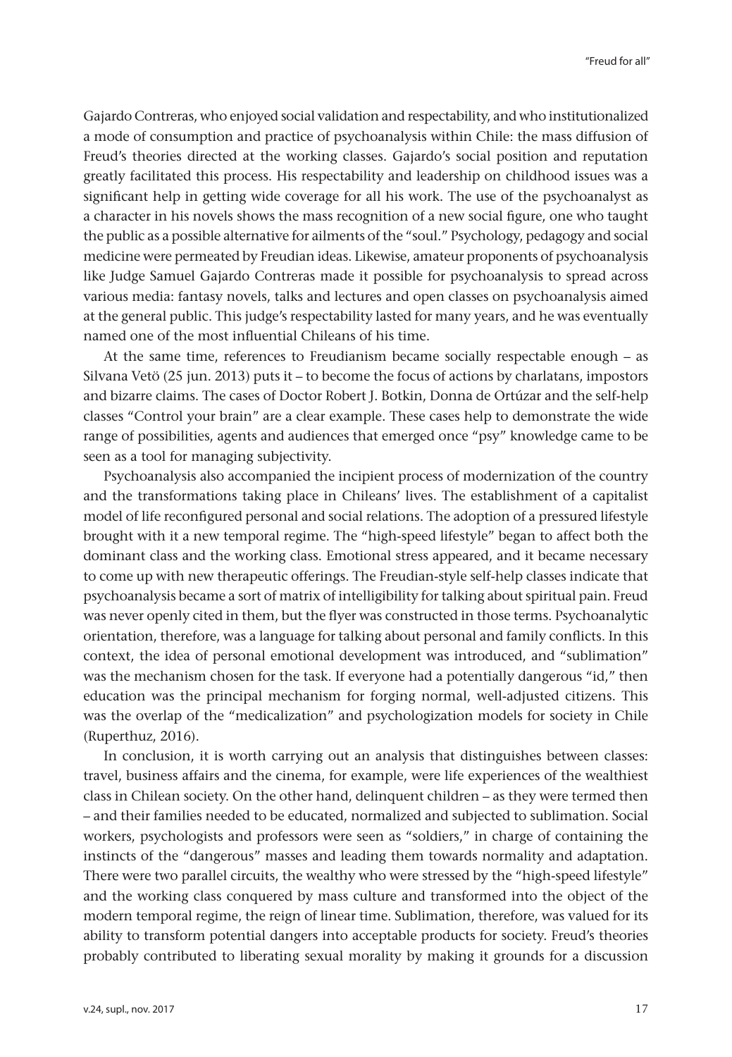Gajardo Contreras, who enjoyed social validation and respectability, and who institutionalized a mode of consumption and practice of psychoanalysis within Chile: the mass diffusion of Freud's theories directed at the working classes. Gajardo's social position and reputation greatly facilitated this process. His respectability and leadership on childhood issues was a significant help in getting wide coverage for all his work. The use of the psychoanalyst as a character in his novels shows the mass recognition of a new social figure, one who taught the public as a possible alternative for ailments of the "soul." Psychology, pedagogy and social medicine were permeated by Freudian ideas. Likewise, amateur proponents of psychoanalysis like Judge Samuel Gajardo Contreras made it possible for psychoanalysis to spread across various media: fantasy novels, talks and lectures and open classes on psychoanalysis aimed at the general public. This judge's respectability lasted for many years, and he was eventually named one of the most influential Chileans of his time.

At the same time, references to Freudianism became socially respectable enough – as Silvana Vetö (25 jun. 2013) puts it – to become the focus of actions by charlatans, impostors and bizarre claims. The cases of Doctor Robert J. Botkin, Donna de Ortúzar and the self-help classes "Control your brain" are a clear example. These cases help to demonstrate the wide range of possibilities, agents and audiences that emerged once "psy" knowledge came to be seen as a tool for managing subjectivity.

Psychoanalysis also accompanied the incipient process of modernization of the country and the transformations taking place in Chileans' lives. The establishment of a capitalist model of life reconfigured personal and social relations. The adoption of a pressured lifestyle brought with it a new temporal regime. The "high-speed lifestyle" began to affect both the dominant class and the working class. Emotional stress appeared, and it became necessary to come up with new therapeutic offerings. The Freudian-style self-help classes indicate that psychoanalysis became a sort of matrix of intelligibility for talking about spiritual pain. Freud was never openly cited in them, but the flyer was constructed in those terms. Psychoanalytic orientation, therefore, was a language for talking about personal and family conflicts. In this context, the idea of personal emotional development was introduced, and "sublimation" was the mechanism chosen for the task. If everyone had a potentially dangerous "id," then education was the principal mechanism for forging normal, well-adjusted citizens. This was the overlap of the "medicalization" and psychologization models for society in Chile (Ruperthuz, 2016).

In conclusion, it is worth carrying out an analysis that distinguishes between classes: travel, business affairs and the cinema, for example, were life experiences of the wealthiest class in Chilean society. On the other hand, delinquent children – as they were termed then – and their families needed to be educated, normalized and subjected to sublimation. Social workers, psychologists and professors were seen as "soldiers," in charge of containing the instincts of the "dangerous" masses and leading them towards normality and adaptation. There were two parallel circuits, the wealthy who were stressed by the "high-speed lifestyle" and the working class conquered by mass culture and transformed into the object of the modern temporal regime, the reign of linear time. Sublimation, therefore, was valued for its ability to transform potential dangers into acceptable products for society. Freud's theories probably contributed to liberating sexual morality by making it grounds for a discussion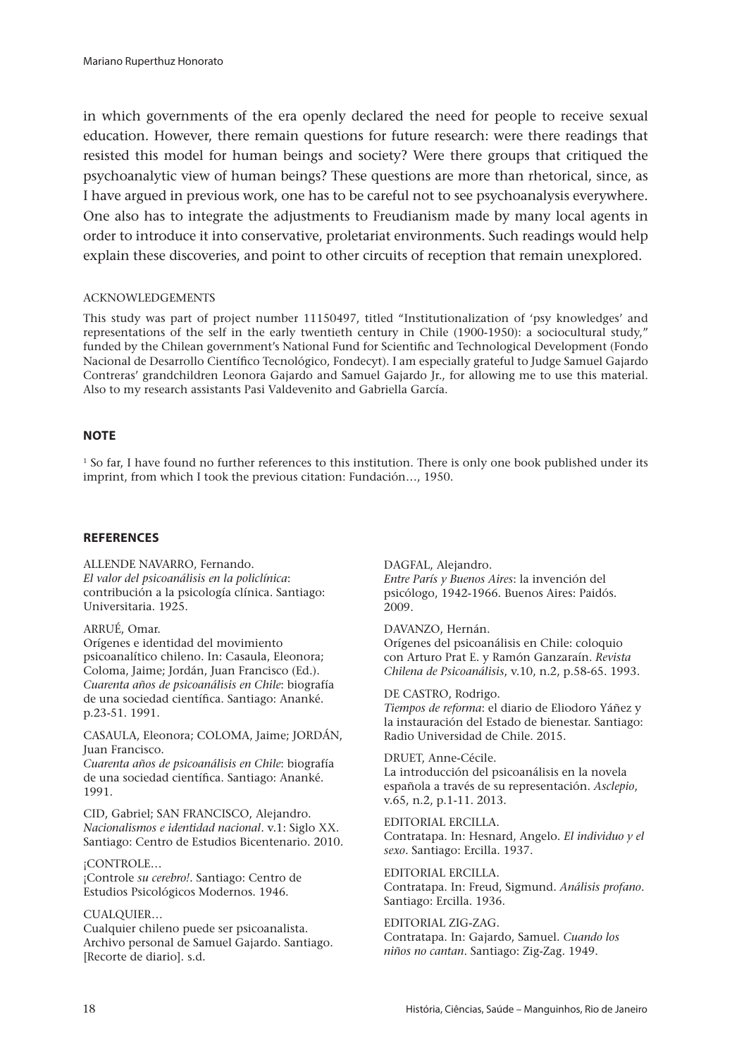in which governments of the era openly declared the need for people to receive sexual education. However, there remain questions for future research: were there readings that resisted this model for human beings and society? Were there groups that critiqued the psychoanalytic view of human beings? These questions are more than rhetorical, since, as I have argued in previous work, one has to be careful not to see psychoanalysis everywhere. One also has to integrate the adjustments to Freudianism made by many local agents in order to introduce it into conservative, proletariat environments. Such readings would help explain these discoveries, and point to other circuits of reception that remain unexplored.

# ACKNOWLEDGEMENTS

This study was part of project number 11150497, titled "Institutionalization of 'psy knowledges' and representations of the self in the early twentieth century in Chile (1900-1950): a sociocultural study," funded by the Chilean government's National Fund for Scientific and Technological Development (Fondo Nacional de Desarrollo Científico Tecnológico, Fondecyt). I am especially grateful to Judge Samuel Gajardo Contreras' grandchildren Leonora Gajardo and Samuel Gajardo Jr., for allowing me to use this material. Also to my research assistants Pasi Valdevenito and Gabriella García.

# **NOTE**

<sup>1</sup> So far, I have found no further references to this institution. There is only one book published under its imprint, from which I took the previous citation: Fundación…, 1950.

# **REFERENCES**

ALLENDE NAVARRO, Fernando. *El valor del psicoanálisis en la policlínica*: contribución a la psicología clínica. Santiago: Universitaria. 1925.

# ARRUÉ, Omar.

Orígenes e identidad del movimiento psicoanalítico chileno. In: Casaula, Eleonora; Coloma, Jaime; Jordán, Juan Francisco (Ed.). *Cuarenta años de psicoanálisis en Chile*: biografía de una sociedad científica. Santiago: Ananké. p.23-51. 1991.

CASAULA, Eleonora; COLOMA, Jaime; JORDÁN, Juan Francisco.

*Cuarenta años de psicoanálisis en Chile*: biografía de una sociedad científica. Santiago: Ananké. 1991.

CID, Gabriel; SAN FRANCISCO, Alejandro. *Nacionalismos e identidad nacional*. v.1: Siglo XX. Santiago: Centro de Estudios Bicentenario. 2010.

# ¡CONTROLE…

¡Controle *su cerebro!.* Santiago: Centro de Estudios Psicológicos Modernos. 1946.

# CUALQUIER…

Cualquier chileno puede ser psicoanalista. Archivo personal de Samuel Gajardo. Santiago. [Recorte de diario]. s.d.

DAGFAL, Alejandro. *Entre París y Buenos Aires*: la invención del psicólogo, 1942-1966. Buenos Aires: Paidós. 2009.

# DAVANZO, Hernán.

Orígenes del psicoanálisis en Chile: coloquio con Arturo Prat E. y Ramón Ganzaraín. *Revista Chilena de Psicoanálisis*, v.10, n.2, p.58-65. 1993.

# DE CASTRO, Rodrigo.

*Tiempos de reforma*: el diario de Eliodoro Yáñez y la instauración del Estado de bienestar. Santiago: Radio Universidad de Chile. 2015.

## DRUET, Anne-Cécile. La introducción del psicoanálisis en la novela española a través de su representación. *Asclepio*, v.65, n.2, p.1-11. 2013.

EDITORIAL ERCILLA. Contratapa. In: Hesnard, Angelo. *El individuo y el sexo*. Santiago: Ercilla. 1937.

EDITORIAL ERCILLA. Contratapa. In: Freud, Sigmund. *Análisis profano*. Santiago: Ercilla. 1936.

EDITORIAL ZIG-ZAG. Contratapa. In: Gajardo, Samuel. *Cuando los niños no cantan*. Santiago: Zig-Zag. 1949.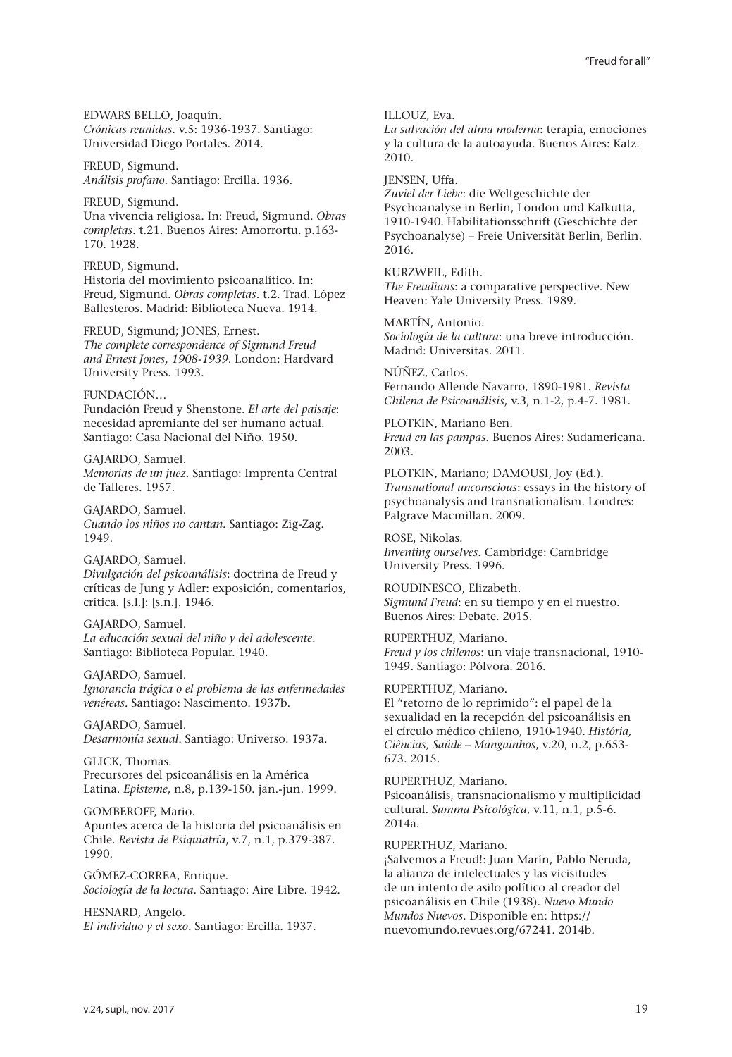EDWARS BELLO, Joaquín. *Crónicas reunidas*. v.5: 1936-1937. Santiago: Universidad Diego Portales. 2014.

FREUD, Sigmund. *Análisis profano*. Santiago: Ercilla. 1936.

FREUD, Sigmund. Una vivencia religiosa. In: Freud, Sigmund. *Obras completas*. t.21. Buenos Aires: Amorrortu. p.163- 170. 1928.

FREUD, Sigmund.

Historia del movimiento psicoanalítico. In: Freud, Sigmund. *Obras completas*. t.2. Trad. López Ballesteros. Madrid: Biblioteca Nueva. 1914.

FREUD, Sigmund; JONES, Ernest. *The complete correspondence of Sigmund Freud and Ernest Jones, 1908-1939*. London: Hardvard University Press. 1993.

#### FUNDACIÓN…

Fundación Freud y Shenstone. *El arte del paisaje*: necesidad apremiante del ser humano actual. Santiago: Casa Nacional del Niño. 1950.

GAJARDO, Samuel. *Memorias de un juez.* Santiago: Imprenta Central de Talleres. 1957.

GAJARDO, Samuel. *Cuando los niños no cantan*. Santiago: Zig-Zag. 1949.

GAJARDO, Samuel. *Divulgación del psicoanálisis*: doctrina de Freud y críticas de Jung y Adler: exposición, comentarios, crítica. [s.l.]: [s.n.]. 1946.

#### GAJARDO, Samuel.

*La educación sexual del niño y del adolescente*. Santiago: Biblioteca Popular. 1940.

## GAJARDO, Samuel.

*Ignorancia trágica o el problema de las enfermedades venéreas.* Santiago: Nascimento. 1937b.

GAJARDO, Samuel. *Desarmonía sexual*. Santiago: Universo. 1937a.

GLICK, Thomas. Precursores del psicoanálisis en la América Latina. *Episteme*, n.8, p.139-150. jan.-jun. 1999.

GOMBEROFF, Mario. Apuntes acerca de la historia del psicoanálisis en Chile. *Revista de Psiquiatría*, v.7, n.1, p.379-387. 1990.

GÓMEZ-CORREA, Enrique. *Sociología de la locura.* Santiago: Aire Libre. 1942.

HESNARD, Angelo. *El individuo y el sexo*. Santiago: Ercilla. 1937. ILLOUZ, Eva.

*La salvación del alma moderna*: terapia, emociones y la cultura de la autoayuda. Buenos Aires: Katz. 2010.

JENSEN, Uffa.

*Zuviel der Liebe*: die Weltgeschichte der Psychoanalyse in Berlin, London und Kalkutta, 1910-1940. Habilitationsschrift (Geschichte der Psychoanalyse) – Freie Universität Berlin, Berlin. 2016.

KURZWEIL, Edith. *The Freudians*: a comparative perspective. New Heaven: Yale University Press. 1989.

MARTÍN, Antonio. *Sociología de la cultura*: una breve introducción. Madrid: Universitas. 2011.

NÚÑEZ, Carlos. Fernando Allende Navarro, 1890-1981. *Revista Chilena de Psicoanálisis*, v.3, n.1-2, p.4-7. 1981.

PLOTKIN, Mariano Ben. *Freud en las pampas.* Buenos Aires: Sudamericana. 2003.

PLOTKIN, Mariano; DAMOUSI, Joy (Ed.). *Transnational unconscious*: essays in the history of psychoanalysis and transnationalism. Londres: Palgrave Macmillan. 2009.

ROSE, Nikolas. *Inventing ourselves*. Cambridge: Cambridge University Press. 1996.

ROUDINESCO, Elizabeth. *Sigmund Freud*: en su tiempo y en el nuestro. Buenos Aires: Debate. 2015.

RUPERTHUZ, Mariano. *Freud y los chilenos*: un viaje transnacional, 1910- 1949. Santiago: Pólvora. 2016.

RUPERTHUZ, Mariano.

El "retorno de lo reprimido": el papel de la sexualidad en la recepción del psicoanálisis en el círculo médico chileno, 1910-1940. *História, Ciências, Saúde – Manguinhos*, v.20, n.2, p.653- 673. 2015.

RUPERTHUZ, Mariano. Psicoanálisis, transnacionalismo y multiplicidad cultural. *Summa Psicológica*, v.11, n.1, p.5-6. 2014a.

RUPERTHUZ, Mariano.

¡Salvemos a Freud!: Juan Marín, Pablo Neruda, la alianza de intelectuales y las vicisitudes de un intento de asilo político al creador del psicoanálisis en Chile (1938). *Nuevo Mundo Mundos Nuevos*. Disponible en: https:// nuevomundo.revues.org/67241. 2014b*.*